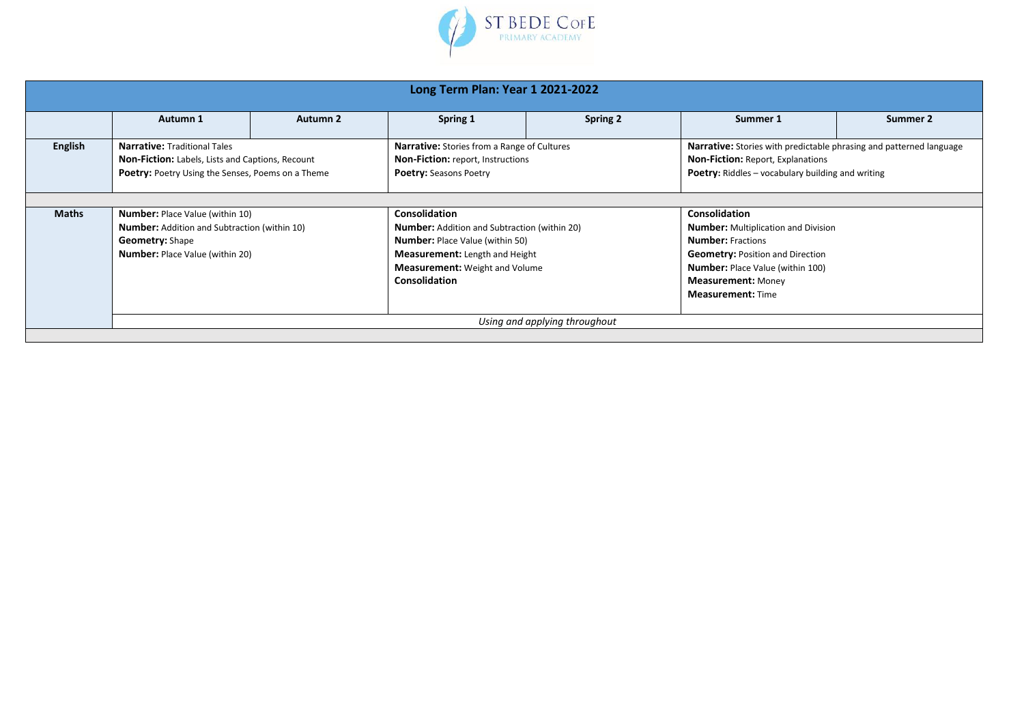

| Long Term Plan: Year 1 2021-2022 |                                                                                                                                                                   |                 |                                                                                                                                                                                                                                 |          |                                                                                                                                                                                                                                               |          |  |  |  |
|----------------------------------|-------------------------------------------------------------------------------------------------------------------------------------------------------------------|-----------------|---------------------------------------------------------------------------------------------------------------------------------------------------------------------------------------------------------------------------------|----------|-----------------------------------------------------------------------------------------------------------------------------------------------------------------------------------------------------------------------------------------------|----------|--|--|--|
|                                  | Autumn 1                                                                                                                                                          | <b>Autumn 2</b> | Spring 1                                                                                                                                                                                                                        | Spring 2 | Summer 1                                                                                                                                                                                                                                      | Summer 2 |  |  |  |
| English                          | <b>Narrative: Traditional Tales</b><br>Non-Fiction: Labels, Lists and Captions, Recount<br>Poetry: Poetry Using the Senses, Poems on a Theme                      |                 | <b>Narrative:</b> Stories from a Range of Cultures<br><b>Non-Fiction:</b> report, Instructions<br><b>Poetry: Seasons Poetry</b>                                                                                                 |          | <b>Narrative:</b> Stories with predictable phrasing and patterned language<br><b>Non-Fiction: Report, Explanations</b><br><b>Poetry:</b> Riddles – vocabulary building and writing                                                            |          |  |  |  |
|                                  |                                                                                                                                                                   |                 |                                                                                                                                                                                                                                 |          |                                                                                                                                                                                                                                               |          |  |  |  |
| <b>Maths</b>                     | <b>Number: Place Value (within 10)</b><br><b>Number:</b> Addition and Subtraction (within 10)<br><b>Geometry: Shape</b><br><b>Number:</b> Place Value (within 20) |                 | <b>Consolidation</b><br><b>Number:</b> Addition and Subtraction (within 20)<br><b>Number:</b> Place Value (within 50)<br><b>Measurement:</b> Length and Height<br><b>Measurement:</b> Weight and Volume<br><b>Consolidation</b> |          | <b>Consolidation</b><br><b>Number:</b> Multiplication and Division<br><b>Number:</b> Fractions<br><b>Geometry: Position and Direction</b><br><b>Number:</b> Place Value (within 100)<br><b>Measurement: Money</b><br><b>Measurement: Time</b> |          |  |  |  |
| Using and applying throughout    |                                                                                                                                                                   |                 |                                                                                                                                                                                                                                 |          |                                                                                                                                                                                                                                               |          |  |  |  |
|                                  |                                                                                                                                                                   |                 |                                                                                                                                                                                                                                 |          |                                                                                                                                                                                                                                               |          |  |  |  |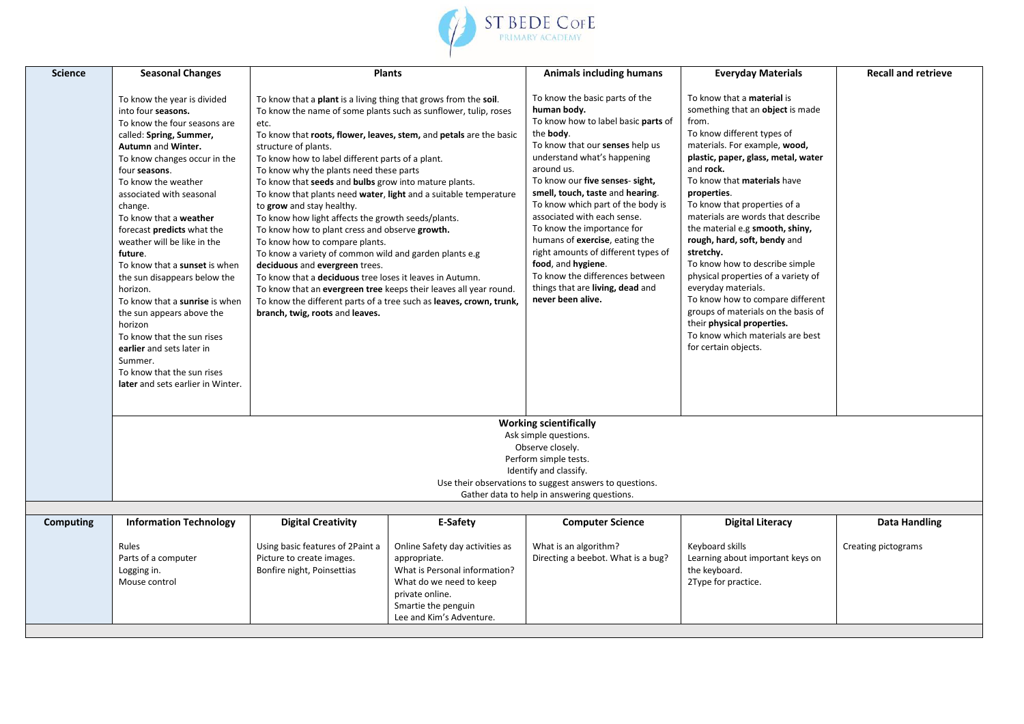

| To know the basic parts of the<br>To know that a <b>material</b> is<br>To know the year is divided<br>To know that a plant is a living thing that grows from the soil.<br>something that an object is made<br>human body.<br>To know the name of some plants such as sunflower, tulip, roses<br>into four seasons.<br>To know how to label basic parts of<br>from.<br>To know the four seasons are<br>etc.<br>To know different types of<br>the body.<br>To know that roots, flower, leaves, stem, and petals are the basic<br>called: Spring, Summer,<br>To know that our senses help us<br>materials. For example, wood,<br>Autumn and Winter.<br>structure of plants.<br>understand what's happening<br>plastic, paper, glass, metal, water<br>To know how to label different parts of a plant.<br>To know changes occur in the<br>around us.<br>and rock.<br>four seasons.<br>To know why the plants need these parts<br>To know our five senses- sight,<br>To know that materials have<br>To know the weather<br>To know that seeds and bulbs grow into mature plants.<br>smell, touch, taste and hearing.<br>properties.<br>associated with seasonal<br>To know that plants need water, light and a suitable temperature<br>To know which part of the body is<br>To know that properties of a<br>to grow and stay healthy.<br>change.<br>associated with each sense.<br>materials are words that describe<br>To know how light affects the growth seeds/plants.<br>To know that a weather<br>To know the importance for<br>the material e.g smooth, shiny,<br>To know how to plant cress and observe growth.<br>forecast <b>predicts</b> what the<br>rough, hard, soft, bendy and<br>humans of exercise, eating the<br>weather will be like in the<br>To know how to compare plants.<br>right amounts of different types of<br>stretchy.<br>To know a variety of common wild and garden plants e.g<br>future.<br>food, and hygiene.<br>To know how to describe simple<br>To know that a sunset is when<br>deciduous and evergreen trees.<br>To know the differences between<br>physical properties of a variety of<br>To know that a <b>deciduous</b> tree loses it leaves in Autumn.<br>the sun disappears below the<br>things that are living, dead and<br>everyday materials.<br>To know that an evergreen tree keeps their leaves all year round.<br>horizon.<br>never been alive.<br>To know how to compare different<br>To know that a sunrise is when<br>To know the different parts of a tree such as leaves, crown, trunk,<br>groups of materials on the basis of<br>the sun appears above the<br>branch, twig, roots and leaves.<br>their physical properties.<br>horizon<br>To know which materials are best<br>To know that the sun rises<br>for certain objects.<br>earlier and sets later in |  |
|------------------------------------------------------------------------------------------------------------------------------------------------------------------------------------------------------------------------------------------------------------------------------------------------------------------------------------------------------------------------------------------------------------------------------------------------------------------------------------------------------------------------------------------------------------------------------------------------------------------------------------------------------------------------------------------------------------------------------------------------------------------------------------------------------------------------------------------------------------------------------------------------------------------------------------------------------------------------------------------------------------------------------------------------------------------------------------------------------------------------------------------------------------------------------------------------------------------------------------------------------------------------------------------------------------------------------------------------------------------------------------------------------------------------------------------------------------------------------------------------------------------------------------------------------------------------------------------------------------------------------------------------------------------------------------------------------------------------------------------------------------------------------------------------------------------------------------------------------------------------------------------------------------------------------------------------------------------------------------------------------------------------------------------------------------------------------------------------------------------------------------------------------------------------------------------------------------------------------------------------------------------------------------------------------------------------------------------------------------------------------------------------------------------------------------------------------------------------------------------------------------------------------------------------------------------------------------------------------------------------------------------------------------------------------------------------------------------------------------------------------------------------------------------------------------------|--|
| Summer.<br>To know that the sun rises<br>later and sets earlier in Winter.                                                                                                                                                                                                                                                                                                                                                                                                                                                                                                                                                                                                                                                                                                                                                                                                                                                                                                                                                                                                                                                                                                                                                                                                                                                                                                                                                                                                                                                                                                                                                                                                                                                                                                                                                                                                                                                                                                                                                                                                                                                                                                                                                                                                                                                                                                                                                                                                                                                                                                                                                                                                                                                                                                                                       |  |
| <b>Working scientifically</b><br>Ask simple questions.                                                                                                                                                                                                                                                                                                                                                                                                                                                                                                                                                                                                                                                                                                                                                                                                                                                                                                                                                                                                                                                                                                                                                                                                                                                                                                                                                                                                                                                                                                                                                                                                                                                                                                                                                                                                                                                                                                                                                                                                                                                                                                                                                                                                                                                                                                                                                                                                                                                                                                                                                                                                                                                                                                                                                           |  |
| Observe closely.<br>Perform simple tests.                                                                                                                                                                                                                                                                                                                                                                                                                                                                                                                                                                                                                                                                                                                                                                                                                                                                                                                                                                                                                                                                                                                                                                                                                                                                                                                                                                                                                                                                                                                                                                                                                                                                                                                                                                                                                                                                                                                                                                                                                                                                                                                                                                                                                                                                                                                                                                                                                                                                                                                                                                                                                                                                                                                                                                        |  |
| Identify and classify.<br>Use their observations to suggest answers to questions.                                                                                                                                                                                                                                                                                                                                                                                                                                                                                                                                                                                                                                                                                                                                                                                                                                                                                                                                                                                                                                                                                                                                                                                                                                                                                                                                                                                                                                                                                                                                                                                                                                                                                                                                                                                                                                                                                                                                                                                                                                                                                                                                                                                                                                                                                                                                                                                                                                                                                                                                                                                                                                                                                                                                |  |
| Gather data to help in answering questions.                                                                                                                                                                                                                                                                                                                                                                                                                                                                                                                                                                                                                                                                                                                                                                                                                                                                                                                                                                                                                                                                                                                                                                                                                                                                                                                                                                                                                                                                                                                                                                                                                                                                                                                                                                                                                                                                                                                                                                                                                                                                                                                                                                                                                                                                                                                                                                                                                                                                                                                                                                                                                                                                                                                                                                      |  |
|                                                                                                                                                                                                                                                                                                                                                                                                                                                                                                                                                                                                                                                                                                                                                                                                                                                                                                                                                                                                                                                                                                                                                                                                                                                                                                                                                                                                                                                                                                                                                                                                                                                                                                                                                                                                                                                                                                                                                                                                                                                                                                                                                                                                                                                                                                                                                                                                                                                                                                                                                                                                                                                                                                                                                                                                                  |  |
| <b>Digital Creativity</b><br>E-Safety<br><b>Digital Literacy</b><br>Computing<br><b>Information Technology</b><br><b>Computer Science</b><br>Data Handling                                                                                                                                                                                                                                                                                                                                                                                                                                                                                                                                                                                                                                                                                                                                                                                                                                                                                                                                                                                                                                                                                                                                                                                                                                                                                                                                                                                                                                                                                                                                                                                                                                                                                                                                                                                                                                                                                                                                                                                                                                                                                                                                                                                                                                                                                                                                                                                                                                                                                                                                                                                                                                                       |  |
| Using basic features of 2Paint a<br>Online Safety day activities as<br>What is an algorithm?<br>Keyboard skills<br>Rules<br>Creating pictograms<br>Parts of a computer<br>Picture to create images.<br>Directing a beebot. What is a bug?<br>Learning about important keys on<br>appropriate.<br>What is Personal information?<br>the keyboard.<br>Logging in.<br>Bonfire night, Poinsettias<br>Mouse control<br>What do we need to keep<br>2Type for practice.<br>private online.<br>Smartie the penguin<br>Lee and Kim's Adventure.                                                                                                                                                                                                                                                                                                                                                                                                                                                                                                                                                                                                                                                                                                                                                                                                                                                                                                                                                                                                                                                                                                                                                                                                                                                                                                                                                                                                                                                                                                                                                                                                                                                                                                                                                                                                                                                                                                                                                                                                                                                                                                                                                                                                                                                                            |  |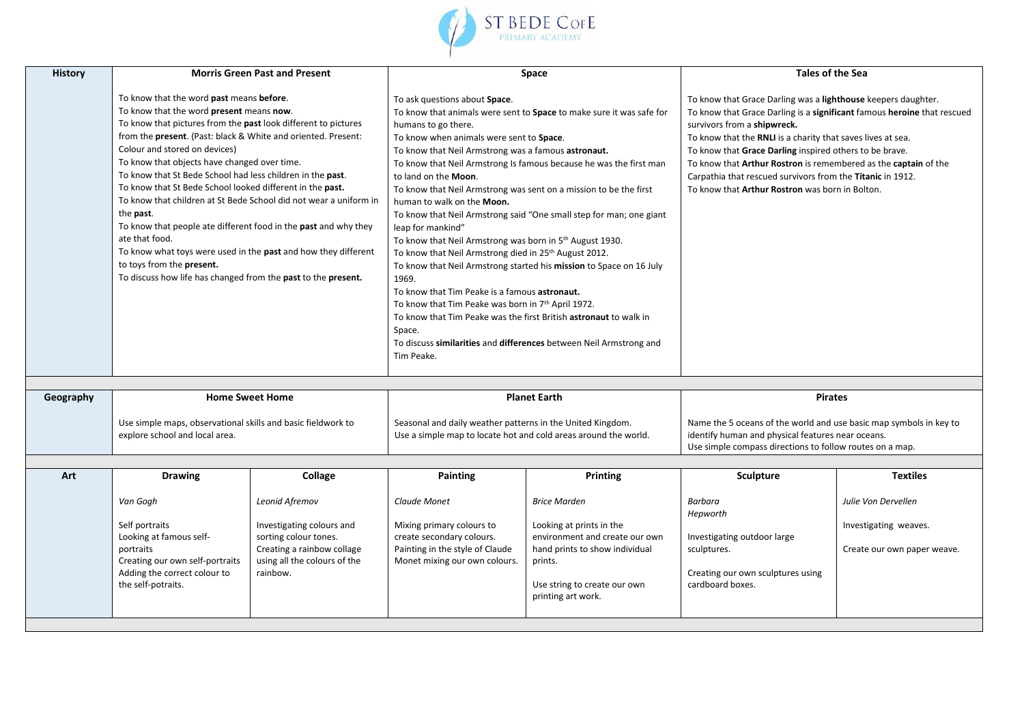

| <b>History</b> |                                                                                                                                                                                                                                                                                                                                                                                                                                                                                                                                                                                                                                                                                                                                                                                    | <b>Morris Green Past and Present</b>                                                                                                           | Space                                                                                                                                                                                                                                                                                                                                                                                                                                                                                                                                                                                                                                                                                                                                                                                                                                                                                                                                                                                                                               |                                                                                                                                                                                      | Tales of the Sea                                                                                                                                                                                                                                                                                                                                                                                                                                                                             |                                                                             |
|----------------|------------------------------------------------------------------------------------------------------------------------------------------------------------------------------------------------------------------------------------------------------------------------------------------------------------------------------------------------------------------------------------------------------------------------------------------------------------------------------------------------------------------------------------------------------------------------------------------------------------------------------------------------------------------------------------------------------------------------------------------------------------------------------------|------------------------------------------------------------------------------------------------------------------------------------------------|-------------------------------------------------------------------------------------------------------------------------------------------------------------------------------------------------------------------------------------------------------------------------------------------------------------------------------------------------------------------------------------------------------------------------------------------------------------------------------------------------------------------------------------------------------------------------------------------------------------------------------------------------------------------------------------------------------------------------------------------------------------------------------------------------------------------------------------------------------------------------------------------------------------------------------------------------------------------------------------------------------------------------------------|--------------------------------------------------------------------------------------------------------------------------------------------------------------------------------------|----------------------------------------------------------------------------------------------------------------------------------------------------------------------------------------------------------------------------------------------------------------------------------------------------------------------------------------------------------------------------------------------------------------------------------------------------------------------------------------------|-----------------------------------------------------------------------------|
|                | To know that the word past means before.<br>To know that the word present means now.<br>To know that pictures from the past look different to pictures<br>from the present. (Past: black & White and oriented. Present:<br>Colour and stored on devices)<br>To know that objects have changed over time.<br>To know that St Bede School had less children in the past.<br>To know that St Bede School looked different in the past.<br>To know that children at St Bede School did not wear a uniform in<br>the <b>past</b> .<br>To know that people ate different food in the past and why they<br>ate that food.<br>To know what toys were used in the past and how they different<br>to toys from the present.<br>To discuss how life has changed from the past to the present. |                                                                                                                                                | To ask questions about Space.<br>To know that animals were sent to Space to make sure it was safe for<br>humans to go there.<br>To know when animals were sent to Space.<br>To know that Neil Armstrong was a famous astronaut.<br>To know that Neil Armstrong Is famous because he was the first man<br>to land on the Moon.<br>To know that Neil Armstrong was sent on a mission to be the first<br>human to walk on the Moon.<br>To know that Neil Armstrong said "One small step for man; one giant<br>leap for mankind"<br>To know that Neil Armstrong was born in 5 <sup>th</sup> August 1930.<br>To know that Neil Armstrong died in 25 <sup>th</sup> August 2012.<br>To know that Neil Armstrong started his mission to Space on 16 July<br>1969.<br>To know that Tim Peake is a famous astronaut.<br>To know that Tim Peake was born in 7th April 1972.<br>To know that Tim Peake was the first British astronaut to walk in<br>Space.<br>To discuss similarities and differences between Neil Armstrong and<br>Tim Peake. |                                                                                                                                                                                      | To know that Grace Darling was a lighthouse keepers daughter.<br>To know that Grace Darling is a significant famous heroine that rescued<br>survivors from a shipwreck.<br>To know that the RNLI is a charity that saves lives at sea.<br>To know that Grace Darling inspired others to be brave.<br>To know that Arthur Rostron is remembered as the captain of the<br>Carpathia that rescued survivors from the Titanic in 1912.<br>To know that <b>Arthur Rostron</b> was born in Bolton. |                                                                             |
| Geography      |                                                                                                                                                                                                                                                                                                                                                                                                                                                                                                                                                                                                                                                                                                                                                                                    |                                                                                                                                                |                                                                                                                                                                                                                                                                                                                                                                                                                                                                                                                                                                                                                                                                                                                                                                                                                                                                                                                                                                                                                                     | <b>Planet Earth</b>                                                                                                                                                                  | <b>Pirates</b>                                                                                                                                                                                                                                                                                                                                                                                                                                                                               |                                                                             |
|                | <b>Home Sweet Home</b><br>Use simple maps, observational skills and basic fieldwork to<br>explore school and local area.                                                                                                                                                                                                                                                                                                                                                                                                                                                                                                                                                                                                                                                           |                                                                                                                                                | Seasonal and daily weather patterns in the United Kingdom.<br>Use a simple map to locate hot and cold areas around the world.                                                                                                                                                                                                                                                                                                                                                                                                                                                                                                                                                                                                                                                                                                                                                                                                                                                                                                       |                                                                                                                                                                                      | Name the 5 oceans of the world and use basic map symbols in key to<br>identify human and physical features near oceans.<br>Use simple compass directions to follow routes on a map.                                                                                                                                                                                                                                                                                                          |                                                                             |
|                |                                                                                                                                                                                                                                                                                                                                                                                                                                                                                                                                                                                                                                                                                                                                                                                    |                                                                                                                                                |                                                                                                                                                                                                                                                                                                                                                                                                                                                                                                                                                                                                                                                                                                                                                                                                                                                                                                                                                                                                                                     |                                                                                                                                                                                      |                                                                                                                                                                                                                                                                                                                                                                                                                                                                                              |                                                                             |
| Art            | <b>Drawing</b>                                                                                                                                                                                                                                                                                                                                                                                                                                                                                                                                                                                                                                                                                                                                                                     | Collage                                                                                                                                        | <b>Painting</b>                                                                                                                                                                                                                                                                                                                                                                                                                                                                                                                                                                                                                                                                                                                                                                                                                                                                                                                                                                                                                     | <b>Printing</b>                                                                                                                                                                      | <b>Sculpture</b>                                                                                                                                                                                                                                                                                                                                                                                                                                                                             | <b>Textiles</b>                                                             |
|                | Van Gogh<br>Self portraits<br>Looking at famous self-<br>portraits<br>Creating our own self-portraits<br>Adding the correct colour to<br>the self-potraits.                                                                                                                                                                                                                                                                                                                                                                                                                                                                                                                                                                                                                        | Leonid Afremov<br>Investigating colours and<br>sorting colour tones.<br>Creating a rainbow collage<br>using all the colours of the<br>rainbow. | Claude Monet<br>Mixing primary colours to<br>create secondary colours.<br>Painting in the style of Claude<br>Monet mixing our own colours.                                                                                                                                                                                                                                                                                                                                                                                                                                                                                                                                                                                                                                                                                                                                                                                                                                                                                          | <b>Brice Marden</b><br>Looking at prints in the<br>environment and create our own<br>hand prints to show individual<br>prints.<br>Use string to create our own<br>printing art work. | Barbara<br>Hepworth<br>Investigating outdoor large<br>sculptures.<br>Creating our own sculptures using<br>cardboard boxes.                                                                                                                                                                                                                                                                                                                                                                   | Julie Von Dervellen<br>Investigating weaves.<br>Create our own paper weave. |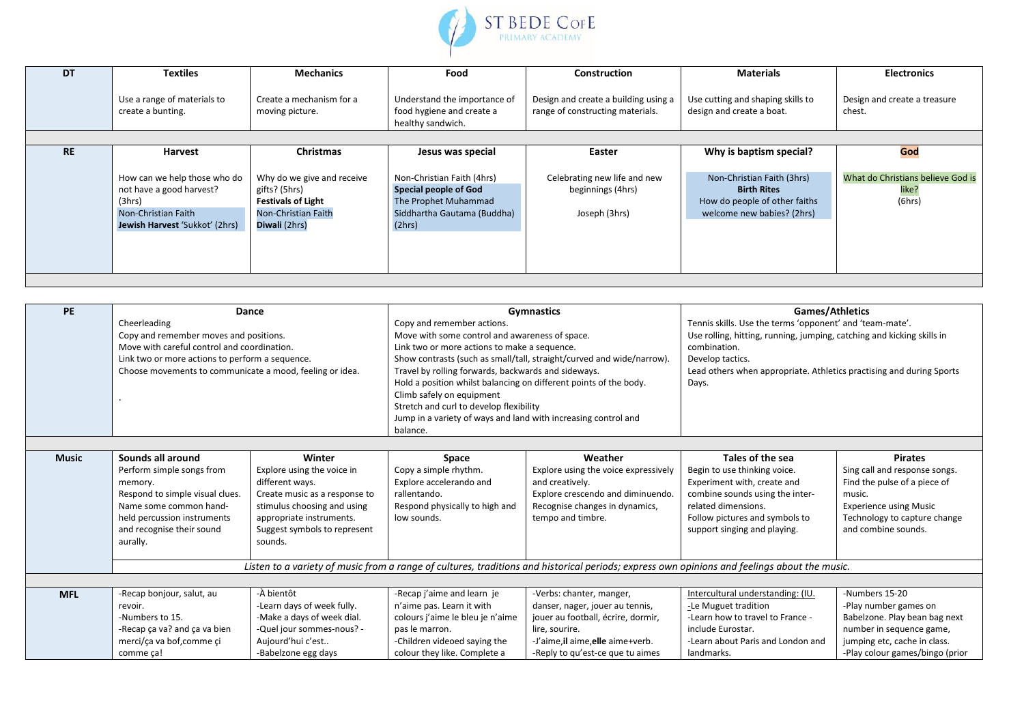

| <b>DT</b> | <b>Textiles</b>                                                                                                             | <b>Mechanics</b>                                                                                                 | Food                                                                                                                        | <b>Construction</b>                                                      | <b>Materials</b>                                                                                                | <b>Electronics</b>                                   |
|-----------|-----------------------------------------------------------------------------------------------------------------------------|------------------------------------------------------------------------------------------------------------------|-----------------------------------------------------------------------------------------------------------------------------|--------------------------------------------------------------------------|-----------------------------------------------------------------------------------------------------------------|------------------------------------------------------|
|           | Use a range of materials to<br>create a bunting.                                                                            | Create a mechanism for a<br>moving picture.                                                                      | Understand the importance of<br>food hygiene and create a<br>healthy sandwich.                                              | Design and create a building using a<br>range of constructing materials. | Use cutting and shaping skills to<br>design and create a boat.                                                  | Design and create a treasure<br>chest.               |
|           |                                                                                                                             |                                                                                                                  |                                                                                                                             |                                                                          |                                                                                                                 |                                                      |
| <b>RE</b> | Harvest                                                                                                                     | <b>Christmas</b>                                                                                                 | Jesus was special                                                                                                           | Easter                                                                   | Why is baptism special?                                                                                         | God                                                  |
|           | How can we help those who do<br>not have a good harvest?<br>(3hrs)<br>Non-Christian Faith<br>Jewish Harvest 'Sukkot' (2hrs) | Why do we give and receive<br>gifts? (5hrs)<br><b>Festivals of Light</b><br>Non-Christian Faith<br>Diwali (2hrs) | Non-Christian Faith (4hrs)<br><b>Special people of God</b><br>The Prophet Muhammad<br>Siddhartha Gautama (Buddha)<br>(2hrs) | Celebrating new life and new<br>beginnings (4hrs)<br>Joseph (3hrs)       | Non-Christian Faith (3hrs)<br><b>Birth Rites</b><br>How do people of other faiths<br>welcome new babies? (2hrs) | What do Christians believe God is<br>like?<br>(6hrs) |

| PE           | Dance                                                                                                                                        |                                         |                                                                | <b>Gymnastics</b>                                                     | <b>Games/Athletics</b>                                                 |                                                                      |  |
|--------------|----------------------------------------------------------------------------------------------------------------------------------------------|-----------------------------------------|----------------------------------------------------------------|-----------------------------------------------------------------------|------------------------------------------------------------------------|----------------------------------------------------------------------|--|
|              | Cheerleading<br>Copy and remember moves and positions.                                                                                       |                                         | Copy and remember actions.                                     |                                                                       | Tennis skills. Use the terms 'opponent' and 'team-mate'.               |                                                                      |  |
|              |                                                                                                                                              |                                         | Move with some control and awareness of space.                 |                                                                       | Use rolling, hitting, running, jumping, catching and kicking skills in |                                                                      |  |
|              | Move with careful control and coordination.                                                                                                  |                                         | Link two or more actions to make a sequence.                   |                                                                       | combination.                                                           |                                                                      |  |
|              | Link two or more actions to perform a sequence.                                                                                              |                                         |                                                                | Show contrasts (such as small/tall, straight/curved and wide/narrow). | Develop tactics.                                                       |                                                                      |  |
|              | Choose movements to communicate a mood, feeling or idea.                                                                                     |                                         |                                                                | Travel by rolling forwards, backwards and sideways.                   |                                                                        | Lead others when appropriate. Athletics practising and during Sports |  |
|              | Hold a position whilst balancing on different points of the body.<br>Climb safely on equipment                                               |                                         |                                                                | Days.                                                                 |                                                                        |                                                                      |  |
|              |                                                                                                                                              |                                         |                                                                |                                                                       |                                                                        |                                                                      |  |
|              |                                                                                                                                              | Stretch and curl to develop flexibility |                                                                |                                                                       |                                                                        |                                                                      |  |
|              |                                                                                                                                              |                                         | Jump in a variety of ways and land with increasing control and |                                                                       |                                                                        |                                                                      |  |
|              |                                                                                                                                              |                                         | balance.                                                       |                                                                       |                                                                        |                                                                      |  |
|              |                                                                                                                                              |                                         |                                                                |                                                                       |                                                                        |                                                                      |  |
| <b>Music</b> | Sounds all around                                                                                                                            | Winter                                  | Space                                                          | Weather                                                               | Tales of the sea                                                       | <b>Pirates</b>                                                       |  |
|              | Perform simple songs from                                                                                                                    | Explore using the voice in              | Copy a simple rhythm.                                          | Explore using the voice expressively                                  | Begin to use thinking voice.                                           | Sing call and response songs.                                        |  |
|              | memory.                                                                                                                                      | different ways.                         | Explore accelerando and                                        | and creatively.                                                       | Experiment with, create and                                            | Find the pulse of a piece of                                         |  |
|              | Respond to simple visual clues.                                                                                                              | Create music as a response to           | rallentando.                                                   | Explore crescendo and diminuendo.                                     | combine sounds using the inter-                                        | music.                                                               |  |
|              | Name some common hand-                                                                                                                       | stimulus choosing and using             | Respond physically to high and                                 | Recognise changes in dynamics,                                        | related dimensions.                                                    | <b>Experience using Music</b>                                        |  |
|              | held percussion instruments                                                                                                                  | appropriate instruments.                | low sounds.                                                    | tempo and timbre.                                                     | Follow pictures and symbols to                                         | Technology to capture change                                         |  |
|              | and recognise their sound                                                                                                                    | Suggest symbols to represent            |                                                                |                                                                       | support singing and playing.                                           | and combine sounds.                                                  |  |
|              | aurally.                                                                                                                                     | sounds.                                 |                                                                |                                                                       |                                                                        |                                                                      |  |
|              |                                                                                                                                              |                                         |                                                                |                                                                       |                                                                        |                                                                      |  |
|              | Listen to a variety of music from a range of cultures, traditions and historical periods; express own opinions and feelings about the music. |                                         |                                                                |                                                                       |                                                                        |                                                                      |  |
|              |                                                                                                                                              |                                         |                                                                |                                                                       |                                                                        |                                                                      |  |
| <b>MFL</b>   | -Recap bonjour, salut, au                                                                                                                    | -À bientôt                              | -Recap j'aime and learn je                                     | -Verbs: chanter, manger,                                              | Intercultural understanding: (IU.                                      | -Numbers 15-20                                                       |  |
|              | revoir.                                                                                                                                      | -Learn days of week fully.              | n'aime pas. Learn it with                                      | danser, nager, jouer au tennis,                                       | -Le Muguet tradition                                                   | -Play number games on                                                |  |
|              | -Numbers to 15.                                                                                                                              | -Make a days of week dial.              | colours j'aime le bleu je n'aime                               | jouer au football, écrire, dormir,                                    | -Learn how to travel to France -                                       | Babelzone. Play bean bag next                                        |  |
|              | -Recap ça va? and ça va bien                                                                                                                 | -Quel jour sommes-nous? -               | pas le marron.                                                 | lire, sourire.                                                        | include Eurostar.                                                      | number in sequence game,                                             |  |
|              | merci/ca va bof, comme ci                                                                                                                    | Aujourd'hui c'est                       | -Children videoed saying the                                   | -J'aime, il aime, elle aime+verb.                                     | -Learn about Paris and London and                                      | jumping etc, cache in class.                                         |  |
|              | comme ça!                                                                                                                                    | -Babelzone egg days                     | colour they like. Complete a                                   | -Reply to qu'est-ce que tu aimes                                      | landmarks.                                                             | -Play colour games/bingo (prior                                      |  |